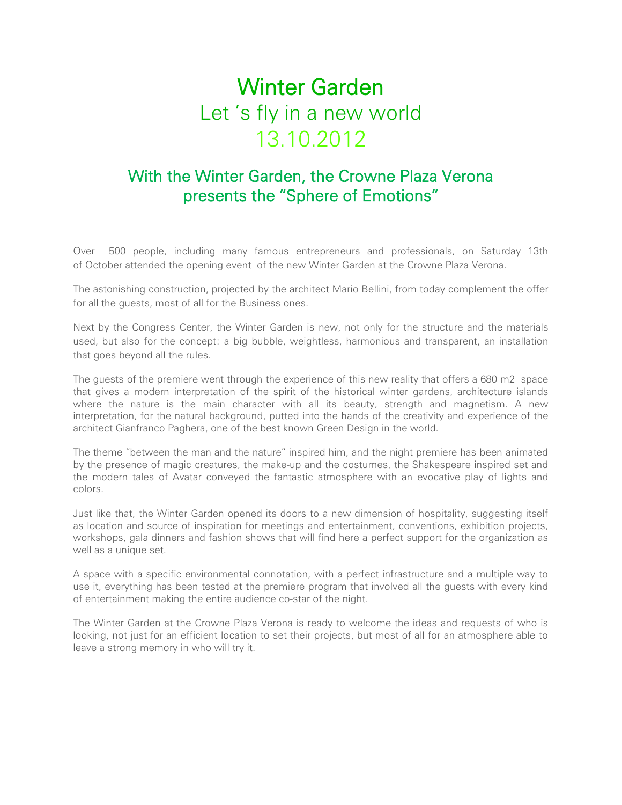# Winter Garden Let 's fly in a new world 13.10.2012

# With the Winter Garden, the Crowne Plaza Verona presents the "Sphere of Emotions"

Over 500 people, including many famous entrepreneurs and professionals, on Saturday 13th of October attended the opening event of the new Winter Garden at the Crowne Plaza Verona.

The astonishing construction, projected by the architect Mario Bellini, from today complement the offer for all the guests, most of all for the Business ones.

Next by the Congress Center, the Winter Garden is new, not only for the structure and the materials used, but also for the concept: a big bubble, weightless, harmonious and transparent, an installation that goes beyond all the rules.

The guests of the premiere went through the experience of this new reality that offers a 680 m2 space that gives a modern interpretation of the spirit of the historical winter gardens, architecture islands where the nature is the main character with all its beauty, strength and magnetism. A new interpretation, for the natural background, putted into the hands of the creativity and experience of the architect Gianfranco Paghera, one of the best known Green Design in the world.

The theme "between the man and the nature" inspired him, and the night premiere has been animated by the presence of magic creatures, the make-up and the costumes, the Shakespeare inspired set and the modern tales of Avatar conveyed the fantastic atmosphere with an evocative play of lights and colors.

Just like that, the Winter Garden opened its doors to a new dimension of hospitality, suggesting itself as location and source of inspiration for meetings and entertainment, conventions, exhibition projects, workshops, gala dinners and fashion shows that will find here a perfect support for the organization as well as a unique set.

A space with a specific environmental connotation, with a perfect infrastructure and a multiple way to use it, everything has been tested at the premiere program that involved all the guests with every kind of entertainment making the entire audience co-star of the night.

The Winter Garden at the Crowne Plaza Verona is ready to welcome the ideas and requests of who is looking, not just for an efficient location to set their projects, but most of all for an atmosphere able to leave a strong memory in who will try it.